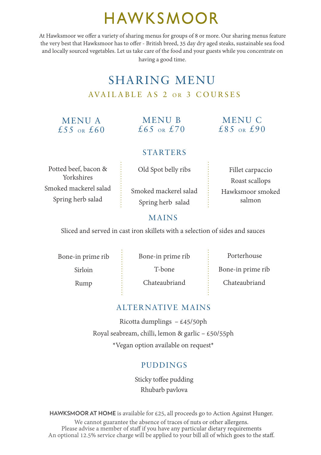## HAWKSMOOR

At Hawksmoor we offer a variety of sharing menus for groups of 8 or more. Our sharing menus feature the very best that Hawksmoor has to offer - British breed, 35 day dry aged steaks, sustainable sea food and locally sourced vegetables. Let us take care of the food and your guests while you concentrate on having a good time.

### SHARING MENU AVAILABLE AS 2 OR 3 COURSES

#### MENU A  $£55$  OR  $£60$

MENU B  $£65$  OR  $£70$ 

#### MENU C  $f.85$  OR  $f.90$

#### **STARTERS**

Potted beef, bacon & Yorkshires Smoked mackerel salad Spring herb salad

Old Spot belly ribs

Smoked mackerel salad Spring herb salad

Fillet carpaccio Roast scallops Hawksmoor smoked salmon

#### MAINS

Sliced and served in cast iron skillets with a selection of sides and sauces

Bone-in prime rib

Sirloin

Rump

Bone-in prime rib

T-bone

Chateaubriand

Bone-in prime rib

Porterhouse

Chateaubriand

#### ALTERNATIVE MAINS

Ricotta dumplings – £45/50ph Royal seabream, chilli, lemon & garlic – £50/55ph \*Vegan option available on request\*

#### PUDDINGS

Sticky toffee pudding Rhubarb pavlova

**HAWKSMOOR AT HOME** is available for £25, all proceeds go to Action Against Hunger. We cannot guarantee the absence of traces of nuts or other allergens. Please advise a member of staff if you have any particular dietary requirements An optional 12.5% service charge will be applied to your bill all of which goes to the staff.